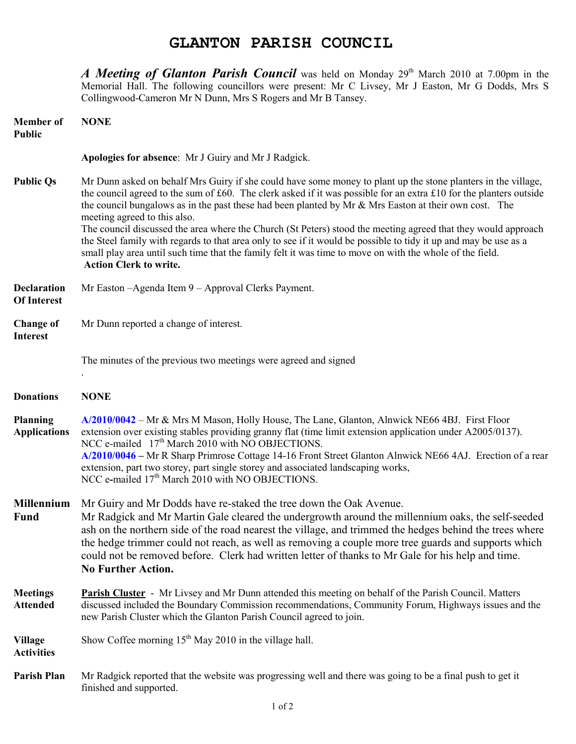## **GLANTON PARISH COUNCIL**

*A Meeting of Glanton Parish Council* was held on Monday 29<sup>th</sup> March 2010 at 7.00pm in the Memorial Hall. The following councillors were present: Mr C Livsey, Mr J Easton, Mr G Dodds, Mrs S Collingwood-Cameron Mr N Dunn, Mrs S Rogers and Mr B Tansey.

| <b>Member</b> of<br><b>Public</b>        | <b>NONE</b>                                                                                                                                                                                                                                                                                                                                                                                                                                                                                                                                                                                                                                                                                                                                                    |
|------------------------------------------|----------------------------------------------------------------------------------------------------------------------------------------------------------------------------------------------------------------------------------------------------------------------------------------------------------------------------------------------------------------------------------------------------------------------------------------------------------------------------------------------------------------------------------------------------------------------------------------------------------------------------------------------------------------------------------------------------------------------------------------------------------------|
|                                          | Apologies for absence: Mr J Guiry and Mr J Radgick.                                                                                                                                                                                                                                                                                                                                                                                                                                                                                                                                                                                                                                                                                                            |
| <b>Public Qs</b>                         | Mr Dunn asked on behalf Mrs Guiry if she could have some money to plant up the stone planters in the village,<br>the council agreed to the sum of £60. The clerk asked if it was possible for an extra £10 for the planters outside<br>the council bungalows as in the past these had been planted by Mr & Mrs Easton at their own cost. The<br>meeting agreed to this also.<br>The council discussed the area where the Church (St Peters) stood the meeting agreed that they would approach<br>the Steel family with regards to that area only to see if it would be possible to tidy it up and may be use as a<br>small play area until such time that the family felt it was time to move on with the whole of the field.<br><b>Action Clerk to write.</b> |
| <b>Declaration</b><br><b>Of Interest</b> | Mr Easton - Agenda Item 9 - Approval Clerks Payment.                                                                                                                                                                                                                                                                                                                                                                                                                                                                                                                                                                                                                                                                                                           |
| <b>Change of</b><br><b>Interest</b>      | Mr Dunn reported a change of interest.                                                                                                                                                                                                                                                                                                                                                                                                                                                                                                                                                                                                                                                                                                                         |
|                                          | The minutes of the previous two meetings were agreed and signed                                                                                                                                                                                                                                                                                                                                                                                                                                                                                                                                                                                                                                                                                                |
| <b>Donations</b>                         | <b>NONE</b>                                                                                                                                                                                                                                                                                                                                                                                                                                                                                                                                                                                                                                                                                                                                                    |
| <b>Planning</b><br><b>Applications</b>   | $A/2010/0042$ – Mr & Mrs M Mason, Holly House, The Lane, Glanton, Alnwick NE66 4BJ. First Floor<br>extension over existing stables providing granny flat (time limit extension application under A2005/0137).<br>NCC e-mailed 17 <sup>th</sup> March 2010 with NO OBJECTIONS.<br>A/2010/0046 – Mr R Sharp Primrose Cottage 14-16 Front Street Glanton Alnwick NE66 4AJ. Erection of a rear<br>extension, part two storey, part single storey and associated landscaping works,<br>NCC e-mailed 17 <sup>th</sup> March 2010 with NO OBJECTIONS.                                                                                                                                                                                                                 |
| <b>Millennium</b><br><b>Fund</b>         | Mr Guiry and Mr Dodds have re-staked the tree down the Oak Avenue.<br>Mr Radgick and Mr Martin Gale cleared the undergrowth around the millennium oaks, the self-seeded<br>ash on the northern side of the road nearest the village, and trimmed the hedges behind the trees where<br>the hedge trimmer could not reach, as well as removing a couple more tree guards and supports which<br>could not be removed before. Clerk had written letter of thanks to Mr Gale for his help and time.<br><b>No Further Action.</b>                                                                                                                                                                                                                                    |
| <b>Meetings</b><br><b>Attended</b>       | <b>Parish Cluster</b> - Mr Livsey and Mr Dunn attended this meeting on behalf of the Parish Council. Matters<br>discussed included the Boundary Commission recommendations, Community Forum, Highways issues and the<br>new Parish Cluster which the Glanton Parish Council agreed to join.                                                                                                                                                                                                                                                                                                                                                                                                                                                                    |
| <b>Village</b><br><b>Activities</b>      | Show Coffee morning $15th$ May 2010 in the village hall.                                                                                                                                                                                                                                                                                                                                                                                                                                                                                                                                                                                                                                                                                                       |
| <b>Parish Plan</b>                       | Mr Radgick reported that the website was progressing well and there was going to be a final push to get it<br>finished and supported.                                                                                                                                                                                                                                                                                                                                                                                                                                                                                                                                                                                                                          |